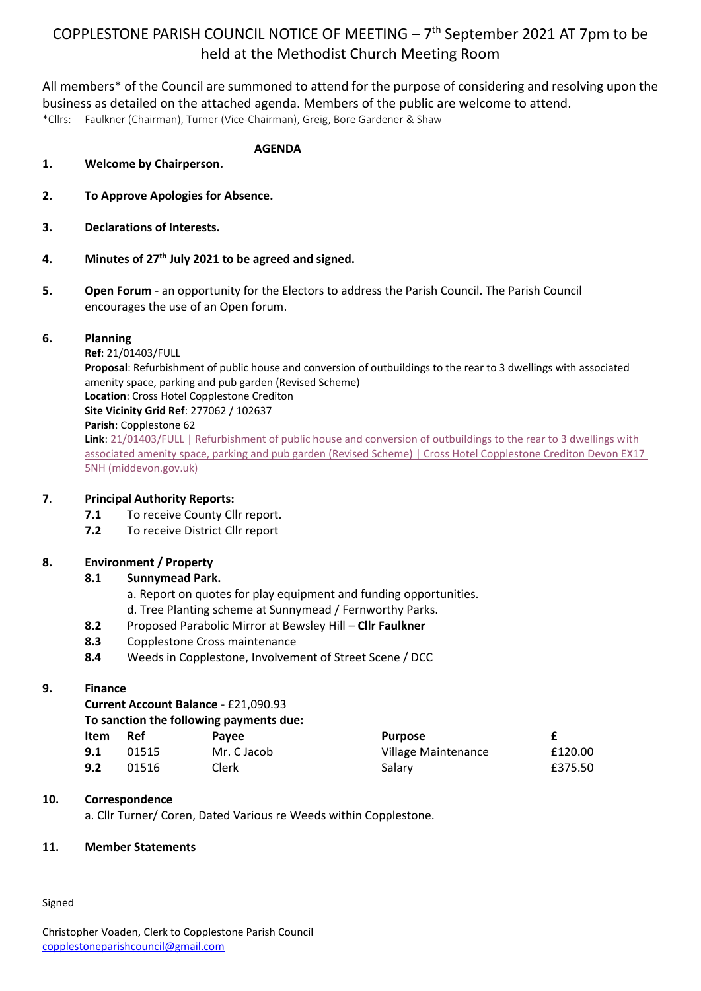# COPPLESTONE PARISH COUNCIL NOTICE OF MEETING  $-7<sup>th</sup>$  September 2021 AT 7pm to be held at the Methodist Church Meeting Room

All members\* of the Council are summoned to attend for the purpose of considering and resolving upon the business as detailed on the attached agenda. Members of the public are welcome to attend. \*Cllrs: Faulkner (Chairman), Turner (Vice-Chairman), Greig, Bore Gardener & Shaw

**AGENDA 1. Welcome by Chairperson.**

- **2. To Approve Apologies for Absence.**
- **3. Declarations of Interests.**
- **4. Minutes of 27th July 2021 to be agreed and signed.**
- **5. Open Forum** an opportunity for the Electors to address the Parish Council. The Parish Council encourages the use of an Open forum.

#### **6. Planning**

**Ref**: 21/01403/FULL

**Proposal**: Refurbishment of public house and conversion of outbuildings to the rear to 3 dwellings with associated amenity space, parking and pub garden (Revised Scheme) **Location**: Cross Hotel Copplestone Crediton **Site Vicinity Grid Ref**: 277062 / 102637 **Parish**: Copplestone 62 **Link**: [21/01403/FULL | Refurbishment of public house and conversion of outbuildings to the rear to 3 dwellings with](https://planning.middevon.gov.uk/online-applications/applicationDetails.do?activeTab=summary&keyVal=QWBZ1IKS04G00)  [associated amenity space, parking and pub garden \(Revised Scheme\) | Cross Hotel Copplestone Crediton Devon EX17](https://planning.middevon.gov.uk/online-applications/applicationDetails.do?activeTab=summary&keyVal=QWBZ1IKS04G00)  [5NH \(middevon.gov.uk\)](https://planning.middevon.gov.uk/online-applications/applicationDetails.do?activeTab=summary&keyVal=QWBZ1IKS04G00)

## **7**. **Principal Authority Reports:**

- **7.1** To receive County Cllr report.
- **7.2** To receive District Cllr report

## **8. Environment / Property**

## **8.1 Sunnymead Park.**

- a. Report on quotes for play equipment and funding opportunities.
- d. Tree Planting scheme at Sunnymead / Fernworthy Parks.
- **8.2** Proposed Parabolic Mirror at Bewsley Hill **Cllr Faulkner**
- **8.3** Copplestone Cross maintenance
- **8.4** Weeds in Copplestone, Involvement of Street Scene / DCC

## **9. Finance**

**Current Account Balance** - £21,090.93

|  |  |  |  | To sanction the following payments due: |  |
|--|--|--|--|-----------------------------------------|--|
|--|--|--|--|-----------------------------------------|--|

| <b>Item</b> | Ref   | <b>Pavee</b> | <b>Purpose</b>      |         |
|-------------|-------|--------------|---------------------|---------|
| 9.1         | 01515 | Mr. C Jacob  | Village Maintenance | £120.00 |
| 9.2         | 01516 | Clerk        | Salary              | £375.50 |

## **10. Correspondence**

a. Cllr Turner/ Coren, Dated Various re Weeds within Copplestone.

## **11. Member Statements**

Signed